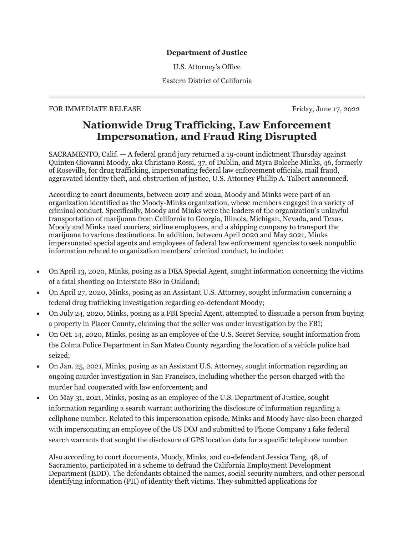## **Department of Justice**

U.S. Attorney's Office

Eastern District of California

## FOR IMMEDIATE RELEASE FOR IMMEDIATE RELEASE

# **Nationwide Drug Trafficking, Law Enforcement Impersonation, and Fraud Ring Disrupted**

SACRAMENTO, Calif. — A federal grand jury returned a 19-count indictment Thursday against Quinten Giovanni Moody, aka Christano Rossi, 37, of Dublin, and Myra Boleche Minks, 46, formerly of Roseville, for drug trafficking, impersonating federal law enforcement officials, mail fraud, aggravated identity theft, and obstruction of justice, U.S. Attorney Phillip A. Talbert announced.

According to court documents, between 2017 and 2022, Moody and Minks were part of an organization identified as the Moody-Minks organization, whose members engaged in a variety of criminal conduct. Specifically, Moody and Minks were the leaders of the organization's unlawful transportation of marijuana from California to Georgia, Illinois, Michigan, Nevada, and Texas. Moody and Minks used couriers, airline employees, and a shipping company to transport the marijuana to various destinations. In addition, between April 2020 and May 2021, Minks impersonated special agents and employees of federal law enforcement agencies to seek nonpublic information related to organization members' criminal conduct, to include:

- On April 13, 2020, Minks, posing as a DEA Special Agent, sought information concerning the victims of a fatal shooting on Interstate 880 in Oakland;
- On April 27, 2020, Minks, posing as an Assistant U.S. Attorney, sought information concerning a federal drug trafficking investigation regarding co-defendant Moody;
- On July 24, 2020, Minks, posing as a FBI Special Agent, attempted to dissuade a person from buying a property in Placer County, claiming that the seller was under investigation by the FBI;
- On Oct. 14, 2020, Minks, posing as an employee of the U.S. Secret Service, sought information from the Colma Police Department in San Mateo County regarding the location of a vehicle police had seized;
- On Jan. 25, 2021, Minks, posing as an Assistant U.S. Attorney, sought information regarding an ongoing murder investigation in San Francisco, including whether the person charged with the murder had cooperated with law enforcement; and
- On May 31, 2021, Minks, posing as an employee of the U.S. Department of Justice, sought information regarding a search warrant authorizing the disclosure of information regarding a cellphone number. Related to this impersonation episode, Minks and Moody have also been charged with impersonating an employee of the US DOJ and submitted to Phone Company 1 fake federal search warrants that sought the disclosure of GPS location data for a specific telephone number.

Also according to court documents, Moody, Minks, and co-defendant Jessica Tang, 48, of Sacramento, participated in a scheme to defraud the California Employment Development Department (EDD). The defendants obtained the names, social security numbers, and other personal identifying information (PII) of identity theft victims. They submitted applications for